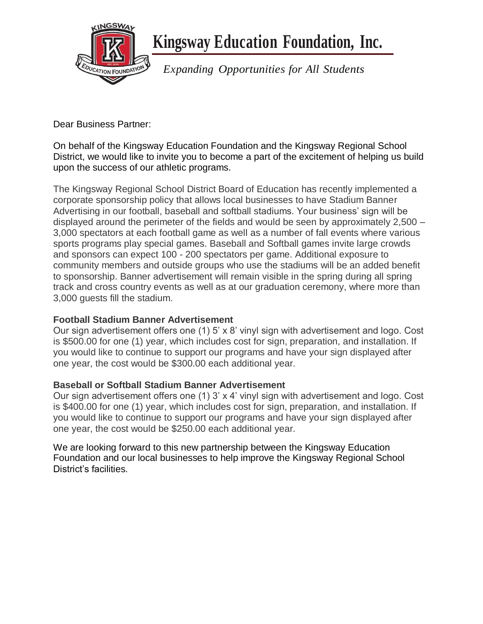

 **Kingsway Education Foundation, Inc.**

*Expanding Opportunities for All Students*

Dear Business Partner:

On behalf of the Kingsway Education Foundation and the Kingsway Regional School District, we would like to invite you to become a part of the excitement of helping us build upon the success of our athletic programs.

The Kingsway Regional School District Board of Education has recently implemented a corporate sponsorship policy that allows local businesses to have Stadium Banner Advertising in our football, baseball and softball stadiums. Your business' sign will be displayed around the perimeter of the fields and would be seen by approximately 2,500 – 3,000 spectators at each football game as well as a number of fall events where various sports programs play special games. Baseball and Softball games invite large crowds and sponsors can expect 100 - 200 spectators per game. Additional exposure to community members and outside groups who use the stadiums will be an added benefit to sponsorship. Banner advertisement will remain visible in the spring during all spring track and cross country events as well as at our graduation ceremony, where more than 3,000 guests fill the stadium.

## **Football Stadium Banner Advertisement**

Our sign advertisement offers one (1) 5' x 8' vinyl sign with advertisement and logo. Cost is \$500.00 for one (1) year, which includes cost for sign, preparation, and installation. If you would like to continue to support our programs and have your sign displayed after one year, the cost would be \$300.00 each additional year.

## **Baseball or Softball Stadium Banner Advertisement**

Our sign advertisement offers one (1) 3' x 4' vinyl sign with advertisement and logo. Cost is \$400.00 for one (1) year, which includes cost for sign, preparation, and installation. If you would like to continue to support our programs and have your sign displayed after one year, the cost would be \$250.00 each additional year.

We are looking forward to this new partnership between the Kingsway Education Foundation and our local businesses to help improve the Kingsway Regional School District's facilities.